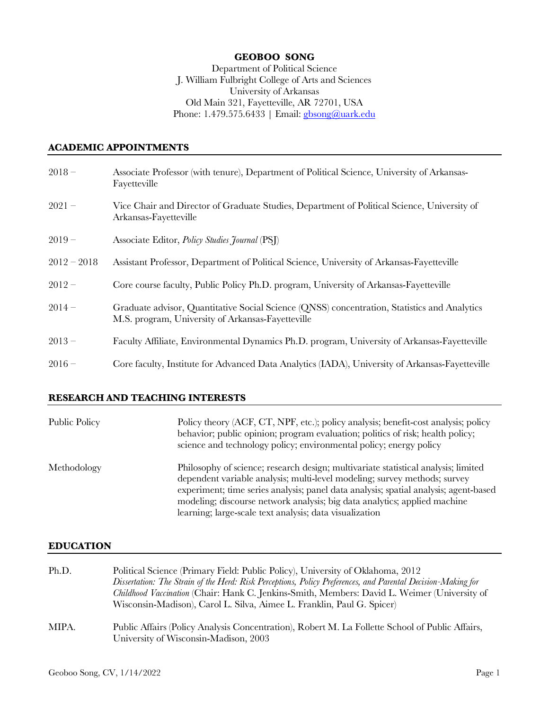### **GEOBOO SONG**

Department of Political Science J. William Fulbright College of Arts and Sciences University of Arkansas Old Main 321, Fayetteville, AR 72701, USA Phone: 1.479.575.6433 | Email: **gbsong@uark.edu** 

#### **ACADEMIC APPOINTMENTS**

| $2018 -$      | Associate Professor (with tenure), Department of Political Science, University of Arkansas-<br>Fayetteville                                       |
|---------------|---------------------------------------------------------------------------------------------------------------------------------------------------|
| $2021 -$      | Vice Chair and Director of Graduate Studies, Department of Political Science, University of<br>Arkansas-Fayetteville                              |
| $2019-$       | Associate Editor, <i>Policy Studies Journal</i> (PSJ)                                                                                             |
| $2012 - 2018$ | Assistant Professor, Department of Political Science, University of Arkansas-Fayetteville                                                         |
| $2012 -$      | Core course faculty, Public Policy Ph.D. program, University of Arkansas-Fayetteville                                                             |
| $2014-$       | Graduate advisor, Quantitative Social Science (QNSS) concentration, Statistics and Analytics<br>M.S. program, University of Arkansas-Fayetteville |
| $2013 -$      | Faculty Affiliate, Environmental Dynamics Ph.D. program, University of Arkansas-Fayetteville                                                      |
| $2016 -$      | Core faculty, Institute for Advanced Data Analytics (IADA), University of Arkansas-Fayetteville                                                   |

### **RESEARCH AND TEACHING INTERESTS**

| Public Policy | Policy theory (ACF, CT, NPF, etc.); policy analysis; benefit-cost analysis; policy<br>behavior; public opinion; program evaluation; politics of risk; health policy;<br>science and technology policy; environmental policy; energy policy                                                                                                                                                      |
|---------------|-------------------------------------------------------------------------------------------------------------------------------------------------------------------------------------------------------------------------------------------------------------------------------------------------------------------------------------------------------------------------------------------------|
| Methodology   | Philosophy of science; research design; multivariate statistical analysis; limited<br>dependent variable analysis; multi-level modeling; survey methods; survey<br>experiment; time series analysis; panel data analysis; spatial analysis; agent-based<br>modeling; discourse network analysis; big data analytics; applied machine<br>learning; large-scale text analysis; data visualization |

#### **EDUCATION**

| Ph.D. | Political Science (Primary Field: Public Policy), University of Oklahoma, 2012<br>Dissertation: The Strain of the Herd: Risk Perceptions, Policy Preferences, and Parental Decision-Making for<br>Childhood Vaccination (Chair: Hank C. Jenkins-Smith, Members: David L. Weimer (University of<br>Wisconsin-Madison), Carol L. Silva, Aimee L. Franklin, Paul G. Spicer) |
|-------|--------------------------------------------------------------------------------------------------------------------------------------------------------------------------------------------------------------------------------------------------------------------------------------------------------------------------------------------------------------------------|
| MIPA. | Public Affairs (Policy Analysis Concentration), Robert M. La Follette School of Public Affairs,<br>University of Wisconsin-Madison, 2003                                                                                                                                                                                                                                 |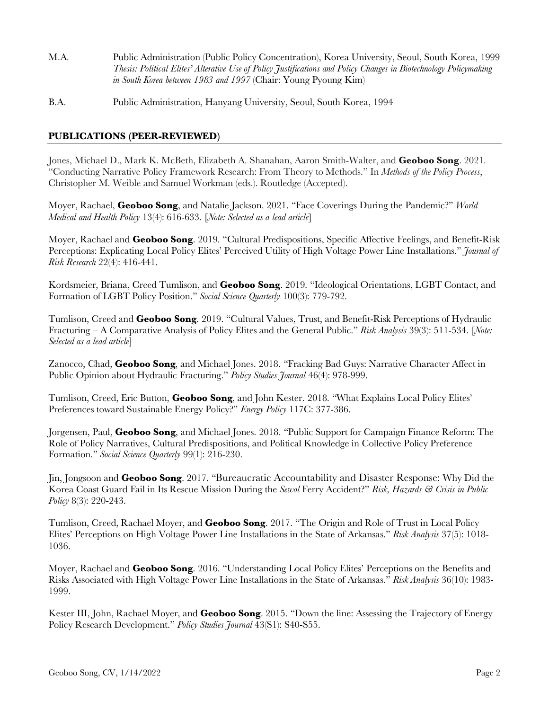- M.A. Public Administration (Public Policy Concentration), Korea University, Seoul, South Korea, 1999 *Thesis: Political Elites' Alterative Use of Policy Justifications and Policy Changes in Biotechnology Policymaking in South Korea between 1983 and 1997* (Chair: Young Pyoung Kim)
- B.A. Public Administration, Hanyang University, Seoul, South Korea, 1994

# **PUBLICATIONS (PEER-REVIEWED)**

Jones, Michael D., Mark K. McBeth, Elizabeth A. Shanahan, Aaron Smith-Walter, and **Geoboo Song**. 2021. "Conducting Narrative Policy Framework Research: From Theory to Methods." In *Methods of the Policy Process*, Christopher M. Weible and Samuel Workman (eds.). Routledge (Accepted).

Moyer, Rachael, **Geoboo Song**, and Natalie Jackson. 2021. "Face Coverings During the Pandemic?" *World Medical and Health Policy* 13(4): 616-633. [*Note: Selected as a lead article*]

Moyer, Rachael and **Geoboo Song**. 2019. "Cultural Predispositions, Specific Affective Feelings, and Benefit-Risk Perceptions: Explicating Local Policy Elites' Perceived Utility of High Voltage Power Line Installations." *Journal of Risk Research* 22(4): 416-441.

Kordsmeier, Briana, Creed Tumlison, and **Geoboo Song**. 2019. "Ideological Orientations, LGBT Contact, and Formation of LGBT Policy Position." *Social Science Quarterly* 100(3): 779-792.

Tumlison, Creed and **Geoboo Song**. 2019. "Cultural Values, Trust, and Benefit-Risk Perceptions of Hydraulic Fracturing – A Comparative Analysis of Policy Elites and the General Public." *Risk Analysis* 39(3): 511-534. [*Note: Selected as a lead article*]

Zanocco, Chad, **Geoboo Song**, and Michael Jones. 2018. "Fracking Bad Guys: Narrative Character Affect in Public Opinion about Hydraulic Fracturing." *Policy Studies Journal* 46(4): 978-999.

Tumlison, Creed, Eric Button, **Geoboo Song**, and John Kester. 2018. "What Explains Local Policy Elites' Preferences toward Sustainable Energy Policy?" *Energy Policy* 117C: 377-386.

Jorgensen, Paul, **Geoboo Song**, and Michael Jones. 2018. "Public Support for Campaign Finance Reform: The Role of Policy Narratives, Cultural Predispositions, and Political Knowledge in Collective Policy Preference Formation." *Social Science Quarterly* 99(1): 216-230.

Jin, Jongsoon and **Geoboo Song**. 2017. "Bureaucratic Accountability and Disaster Response: Why Did the Korea Coast Guard Fail in Its Rescue Mission During the *Sewol* Ferry Accident?" *Risk, Hazards & Crisis in Public Policy* 8(3): 220-243.

Tumlison, Creed, Rachael Moyer, and **Geoboo Song**. 2017. "The Origin and Role of Trust in Local Policy Elites' Perceptions on High Voltage Power Line Installations in the State of Arkansas." *Risk Analysis* 37(5): 1018- 1036.

Moyer, Rachael and **Geoboo Song**. 2016. "Understanding Local Policy Elites' Perceptions on the Benefits and Risks Associated with High Voltage Power Line Installations in the State of Arkansas." *Risk Analysis* 36(10): 1983- 1999.

Kester III, John, Rachael Moyer, and **Geoboo Song**. 2015. "Down the line: Assessing the Trajectory of Energy Policy Research Development." *Policy Studies Journal* 43(S1): S40-S55.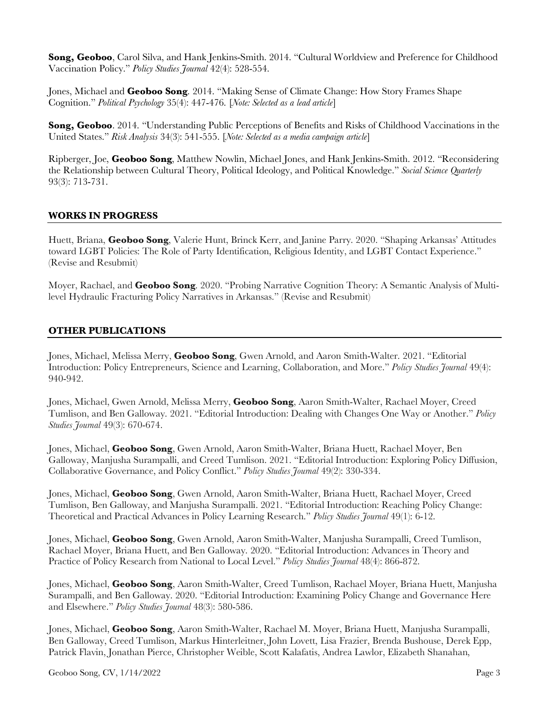**Song, Geoboo**, Carol Silva, and Hank Jenkins-Smith. 2014. "Cultural Worldview and Preference for Childhood Vaccination Policy." *Policy Studies Journal* 42(4): 528-554.

Jones, Michael and **Geoboo Song**. 2014. "Making Sense of Climate Change: How Story Frames Shape Cognition." *Political Psychology* 35(4): 447-476. [*Note: Selected as a lead article*]

**Song, Geoboo**. 2014. "Understanding Public Perceptions of Benefits and Risks of Childhood Vaccinations in the United States." *Risk Analysis* 34(3): 541-555. [*Note: Selected as a media campaign article*]

Ripberger, Joe, **Geoboo Song**, Matthew Nowlin, Michael Jones, and Hank Jenkins-Smith. 2012. "Reconsidering the Relationship between Cultural Theory, Political Ideology, and Political Knowledge." *Social Science Quarterly* 93(3): 713-731.

# **WORKS IN PROGRESS**

Huett, Briana, **Geoboo Song**, Valerie Hunt, Brinck Kerr, and Janine Parry. 2020. "Shaping Arkansas' Attitudes toward LGBT Policies: The Role of Party Identification, Religious Identity, and LGBT Contact Experience." (Revise and Resubmit)

Moyer, Rachael, and **Geoboo Song**. 2020. "Probing Narrative Cognition Theory: A Semantic Analysis of Multilevel Hydraulic Fracturing Policy Narratives in Arkansas." (Revise and Resubmit)

# **OTHER PUBLICATIONS**

Jones, Michael, Melissa Merry, **Geoboo Song**, Gwen Arnold, and Aaron Smith-Walter. 2021. "Editorial Introduction: Policy Entrepreneurs, Science and Learning, Collaboration, and More." *Policy Studies Journal* 49(4): 940-942.

Jones, Michael, Gwen Arnold, Melissa Merry, **Geoboo Song**, Aaron Smith-Walter, Rachael Moyer, Creed Tumlison, and Ben Galloway. 2021. "Editorial Introduction: Dealing with Changes One Way or Another." *Policy Studies Journal* 49(3): 670-674.

Jones, Michael, **Geoboo Song**, Gwen Arnold, Aaron Smith-Walter, Briana Huett, Rachael Moyer, Ben Galloway, Manjusha Surampalli, and Creed Tumlison. 2021. "Editorial Introduction: Exploring Policy Diffusion, Collaborative Governance, and Policy Conflict." *Policy Studies Journal* 49(2): 330-334.

Jones, Michael, **Geoboo Song**, Gwen Arnold, Aaron Smith‐Walter, Briana Huett, Rachael Moyer, Creed Tumlison, Ben Galloway, and Manjusha Surampalli. 2021. "Editorial Introduction: Reaching Policy Change: Theoretical and Practical Advances in Policy Learning Research." *Policy Studies Journal* 49(1): 6-12.

Jones, Michael, **Geoboo Song**, Gwen Arnold, Aaron Smith‐Walter, Manjusha Surampalli, Creed Tumlison, Rachael Moyer, Briana Huett, and Ben Galloway. 2020. "Editorial Introduction: Advances in Theory and Practice of Policy Research from National to Local Level." *Policy Studies Journal* 48(4): 866-872.

Jones, Michael, **Geoboo Song**, Aaron Smith‐Walter, Creed Tumlison, Rachael Moyer, Briana Huett, Manjusha Surampalli, and Ben Galloway. 2020. "Editorial Introduction: Examining Policy Change and Governance Here and Elsewhere." *Policy Studies Journal* 48(3): 580-586.

Jones, Michael, **Geoboo Song**, Aaron Smith‐Walter, Rachael M. Moyer, Briana Huett, Manjusha Surampalli, Ben Galloway, Creed Tumlison, Markus Hinterleitner, John Lovett, Lisa Frazier, Brenda Bushouse, Derek Epp, Patrick Flavin, Jonathan Pierce, Christopher Weible, Scott Kalafatis, Andrea Lawlor, Elizabeth Shanahan,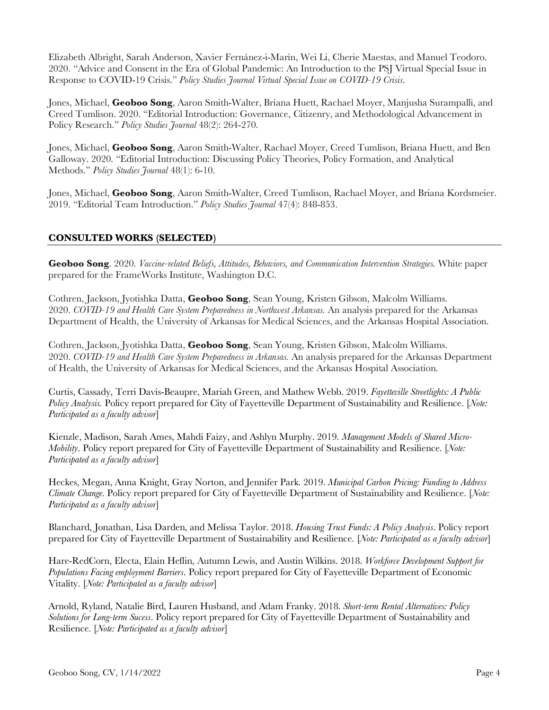Elizabeth Albright, Sarah Anderson, Xavier Fernánez-i-Marín, Wei Li, Cherie Maestas, and Manuel Teodoro. 2020. "Advice and Consent in the Era of Global Pandemic: An Introduction to the PSJ Virtual Special Issue in Response to COVID-19 Crisis." *Policy Studies Journal Virtual Special Issue on COVID-19 Crisis*.

Jones, Michael, **Geoboo Song**, Aaron Smith‐Walter, Briana Huett, Rachael Moyer, Manjusha Surampalli, and Creed Tumlison. 2020. "Editorial Introduction: Governance, Citizenry, and Methodological Advancement in Policy Research." *Policy Studies Journal* 48(2): 264-270.

Jones, Michael, **Geoboo Song**, Aaron Smith‐Walter, Rachael Moyer, Creed Tumlison, Briana Huett, and Ben Galloway. 2020. "Editorial Introduction: Discussing Policy Theories, Policy Formation, and Analytical Methods." *Policy Studies Journal* 48(1): 6-10.

Jones, Michael, **Geoboo Song**, Aaron Smith‐Walter, Creed Tumlison, Rachael Moyer, and Briana Kordsmeier. 2019. "Editorial Team Introduction." *Policy Studies Journal* 47(4): 848-853.

# **CONSULTED WORKS (SELECTED)**

**Geoboo Song**. 2020. *Vaccine-related Beliefs, Attitudes, Behaviors, and Communication Intervention Strategies.* White paper prepared for the FrameWorks Institute, Washington D.C.

Cothren, Jackson, Jyotishka Datta, **Geoboo Song**, Sean Young, Kristen Gibson, Malcolm Williams. 2020. *COVID-19 and Health Care System Preparedness in Northwest Arkansas.* An analysis prepared for the Arkansas Department of Health, the University of Arkansas for Medical Sciences, and the Arkansas Hospital Association.

Cothren, Jackson, Jyotishka Datta, **Geoboo Song**, Sean Young, Kristen Gibson, Malcolm Williams. 2020. *COVID-19 and Health Care System Preparedness in Arkansas.* An analysis prepared for the Arkansas Department of Health, the University of Arkansas for Medical Sciences, and the Arkansas Hospital Association.

Curtis, Cassady, Terri Davis-Beaupre, Mariah Green, and Mathew Webb. 2019. *Fayetteville Streetlights: A Public Policy Analysis.* Policy report prepared for City of Fayetteville Department of Sustainability and Resilience. [*Note: Participated as a faculty advisor*]

Kienzle, Madison, Sarah Ames, Mahdi Faizy, and Ashlyn Murphy. 2019. *Management Models of Shared Micro-Mobility*. Policy report prepared for City of Fayetteville Department of Sustainability and Resilience. [*Note: Participated as a faculty advisor*]

Heckes, Megan, Anna Knight, Gray Norton, and Jennifer Park. 2019. *Municipal Carbon Pricing: Funding to Address Climate Change*. Policy report prepared for City of Fayetteville Department of Sustainability and Resilience. [*Note: Participated as a faculty advisor*]

Blanchard, Jonathan, Lisa Darden, and Melissa Taylor. 2018. *Housing Trust Funds: A Policy Analysis*. Policy report prepared for City of Fayetteville Department of Sustainability and Resilience. [*Note: Participated as a faculty advisor*]

Hare-RedCorn, Electa, Elain Heflin, Autumn Lewis, and Austin Wilkins. 2018. *Workforce Development Support for Populations Facing employment Barriers*. Policy report prepared for City of Fayetteville Department of Economic Vitality. [*Note: Participated as a faculty advisor*]

Arnold, Ryland, Natalie Bird, Lauren Husband, and Adam Franky. 2018. *Short-term Rental Alternatives: Policy Solutions for Long-term Sucess*. Policy report prepared for City of Fayetteville Department of Sustainability and Resilience. [*Note: Participated as a faculty advisor*]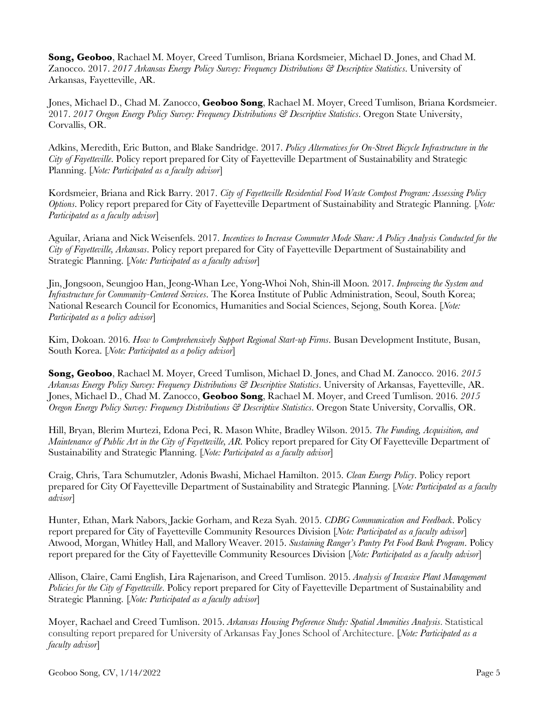**Song, Geoboo**, Rachael M. Moyer, Creed Tumlison, Briana Kordsmeier, Michael D. Jones, and Chad M. Zanocco. 2017. *2017 Arkansas Energy Policy Survey: Frequency Distributions & Descriptive Statistics*. University of Arkansas, Fayetteville, AR.

Jones, Michael D., Chad M. Zanocco, **Geoboo Song**, Rachael M. Moyer, Creed Tumlison, Briana Kordsmeier. 2017. *2017 Oregon Energy Policy Survey: Frequency Distributions & Descriptive Statistics*. Oregon State University, Corvallis, OR.

Adkins, Meredith, Eric Button, and Blake Sandridge. 2017. *Policy Alternatives for On-Street Bicycle Infrastructure in the City of Fayetteville*. Policy report prepared for City of Fayetteville Department of Sustainability and Strategic Planning. [*Note: Participated as a faculty advisor*]

Kordsmeier, Briana and Rick Barry. 2017. *City of Fayetteville Residential Food Waste Compost Program: Assessing Policy Options*. Policy report prepared for City of Fayetteville Department of Sustainability and Strategic Planning. [*Note: Participated as a faculty advisor*]

Aguilar, Ariana and Nick Weisenfels. 2017. *Incentives to Increase Commuter Mode Share: A Policy Analysis Conducted for the City of Fayetteville, Arkansas*. Policy report prepared for City of Fayetteville Department of Sustainability and Strategic Planning. [*Note: Participated as a faculty advisor*]

Jin, Jongsoon, Seungjoo Han, Jeong-Whan Lee, Yong-Whoi Noh, Shin-ill Moon. 2017. *Improving the System and Infrastructure for Community-Centered Services*. The Korea Institute of Public Administration, Seoul, South Korea; National Research Council for Economics, Humanities and Social Sciences, Sejong, South Korea. [*Note: Participated as a policy advisor*]

Kim, Dokoan. 2016. *How to Comprehensively Support Regional Start-up Firms*. Busan Development Institute, Busan, South Korea. [*Note: Participated as a policy advisor*]

**Song, Geoboo**, Rachael M. Moyer, Creed Tumlison, Michael D. Jones, and Chad M. Zanocco. 2016. *2015 Arkansas Energy Policy Survey: Frequency Distributions & Descriptive Statistics*. University of Arkansas, Fayetteville, AR. Jones, Michael D., Chad M. Zanocco, **Geoboo Song**, Rachael M. Moyer, and Creed Tumlison. 2016. *2015 Oregon Energy Policy Survey: Frequency Distributions & Descriptive Statistics*. Oregon State University, Corvallis, OR.

Hill, Bryan, Blerim Murtezi, Edona Peci, R. Mason White, Bradley Wilson. 2015. *The Funding, Acquisition, and Maintenance of Public Art in the City of Fayetteville, AR*. Policy report prepared for City Of Fayetteville Department of Sustainability and Strategic Planning. [*Note: Participated as a faculty advisor*]

Craig, Chris, Tara Schumutzler, Adonis Bwashi, Michael Hamilton. 2015. *Clean Energy Policy*. Policy report prepared for City Of Fayetteville Department of Sustainability and Strategic Planning. [*Note: Participated as a faculty advisor*]

Hunter, Ethan, Mark Nabors, Jackie Gorham, and Reza Syah. 2015. *CDBG Communication and Feedback*. Policy report prepared for City of Fayetteville Community Resources Division [*Note: Participated as a faculty advisor*] Atwood, Morgan, Whitley Hall, and Mallory Weaver. 2015. *Sustaining Ranger's Pantry Pet Food Bank Program*. Policy report prepared for the City of Fayetteville Community Resources Division [*Note: Participated as a faculty advisor*]

Allison, Claire, Cami English, Lira Rajenarison, and Creed Tumlison. 2015. *Analysis of Invasive Plant Management Policies for the City of Fayetteville*. Policy report prepared for City of Fayetteville Department of Sustainability and Strategic Planning. [*Note: Participated as a faculty advisor*]

Moyer, Rachael and Creed Tumlison. 2015. *Arkansas Housing Preference Study: Spatial Amenities Analysis*. Statistical consulting report prepared for University of Arkansas Fay Jones School of Architecture. [*Note: Participated as a faculty advisor*]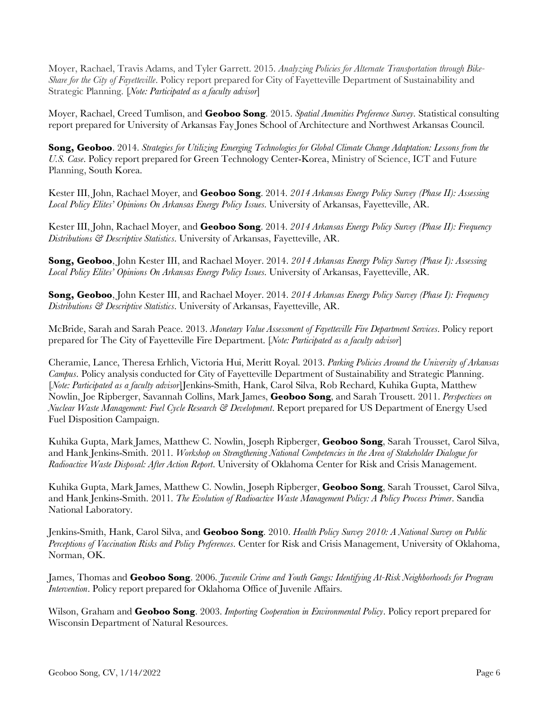Moyer, Rachael, Travis Adams, and Tyler Garrett. 2015. *Analyzing Policies for Alternate Transportation through Bike-Share for the City of Fayetteville*. Policy report prepared for City of Fayetteville Department of Sustainability and Strategic Planning. [*Note: Participated as a faculty advisor*]

Moyer, Rachael, Creed Tumlison, and **Geoboo Song**. 2015. *Spatial Amenities Preference Survey*. Statistical consulting report prepared for University of Arkansas Fay Jones School of Architecture and Northwest Arkansas Council.

**Song, Geoboo**. 2014. *Strategies for Utilizing Emerging Technologies for Global Climate Change Adaptation: Lessons from the U.S. Case*. Policy report prepared for Green Technology Center-Korea, Ministry of Science, ICT and Future Planning, South Korea.

Kester III, John, Rachael Moyer, and **Geoboo Song**. 2014. *2014 Arkansas Energy Policy Survey (Phase II): Assessing Local Policy Elites' Opinions On Arkansas Energy Policy Issues*. University of Arkansas, Fayetteville, AR.

Kester III, John, Rachael Moyer, and **Geoboo Song**. 2014. *2014 Arkansas Energy Policy Survey (Phase II): Frequency Distributions & Descriptive Statistics*. University of Arkansas, Fayetteville, AR.

**Song, Geoboo**, John Kester III, and Rachael Moyer. 2014. *2014 Arkansas Energy Policy Survey (Phase I): Assessing Local Policy Elites' Opinions On Arkansas Energy Policy Issues*. University of Arkansas, Fayetteville, AR.

**Song, Geoboo**, John Kester III, and Rachael Moyer. 2014. *2014 Arkansas Energy Policy Survey (Phase I): Frequency Distributions & Descriptive Statistics*. University of Arkansas, Fayetteville, AR.

McBride, Sarah and Sarah Peace. 2013. *Monetary Value Assessment of Fayetteville Fire Department Services*. Policy report prepared for The City of Fayetteville Fire Department. [*Note: Participated as a faculty advisor*]

Cheramie, Lance, Theresa Erhlich, Victoria Hui, Meritt Royal. 2013. *Parking Policies Around the University of Arkansas Campus*. Policy analysis conducted for City of Fayetteville Department of Sustainability and Strategic Planning. [*Note: Participated as a faculty advisor*]Jenkins-Smith, Hank, Carol Silva, Rob Rechard, Kuhika Gupta, Matthew Nowlin, Joe Ripberger, Savannah Collins, Mark James, **Geoboo Song**, and Sarah Trousett. 2011. *Perspectives on Nuclear Waste Management: Fuel Cycle Research & Development*. Report prepared for US Department of Energy Used Fuel Disposition Campaign.

Kuhika Gupta, Mark James, Matthew C. Nowlin, Joseph Ripberger, **Geoboo Song**, Sarah Trousset, Carol Silva, and Hank Jenkins-Smith. 2011. *Workshop on Strengthening National Competencies in the Area of Stakeholder Dialogue for Radioactive Waste Disposal: After Action Report*. University of Oklahoma Center for Risk and Crisis Management.

Kuhika Gupta, Mark James, Matthew C. Nowlin, Joseph Ripberger, **Geoboo Song**, Sarah Trousset, Carol Silva, and Hank Jenkins-Smith. 2011. *The Evolution of Radioactive Waste Management Policy: A Policy Process Primer*. Sandia National Laboratory.

Jenkins-Smith, Hank, Carol Silva, and **Geoboo Song**. 2010. *Health Policy Survey 2010: A National Survey on Public Perceptions of Vaccination Risks and Policy Preferences*. Center for Risk and Crisis Management, University of Oklahoma, Norman, OK.

James, Thomas and **Geoboo Song**. 2006. *Juvenile Crime and Youth Gangs: Identifying At-Risk Neighborhoods for Program Intervention*. Policy report prepared for Oklahoma Office of Juvenile Affairs.

Wilson, Graham and **Geoboo Song**. 2003. *Importing Cooperation in Environmental Policy*. Policy report prepared for Wisconsin Department of Natural Resources.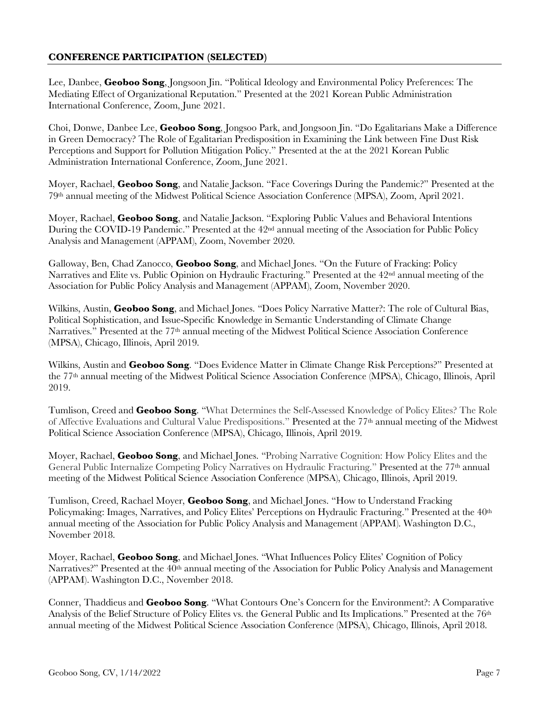# **CONFERENCE PARTICIPATION (SELECTED)**

Lee, Danbee, **Geoboo Song**, Jongsoon Jin. "Political Ideology and Environmental Policy Preferences: The Mediating Effect of Organizational Reputation." Presented at the 2021 Korean Public Administration International Conference, Zoom, June 2021.

Choi, Donwe, Danbee Lee, **Geoboo Song**, Jongsoo Park, and Jongsoon Jin. "Do Egalitarians Make a Difference in Green Democracy? The Role of Egalitarian Predisposition in Examining the Link between Fine Dust Risk Perceptions and Support for Pollution Mitigation Policy." Presented at the at the 2021 Korean Public Administration International Conference, Zoom, June 2021.

Moyer, Rachael, **Geoboo Song**, and Natalie Jackson. "Face Coverings During the Pandemic?" Presented at the 79th annual meeting of the Midwest Political Science Association Conference (MPSA), Zoom, April 2021.

Moyer, Rachael, **Geoboo Song**, and Natalie Jackson. "Exploring Public Values and Behavioral Intentions During the COVID-19 Pandemic." Presented at the  $42<sup>nd</sup>$  annual meeting of the Association for Public Policy Analysis and Management (APPAM), Zoom, November 2020.

Galloway, Ben, Chad Zanocco, **Geoboo Song**, and Michael Jones. "On the Future of Fracking: Policy Narratives and Elite vs. Public Opinion on Hydraulic Fracturing." Presented at the 42nd annual meeting of the Association for Public Policy Analysis and Management (APPAM), Zoom, November 2020.

Wilkins, Austin, **Geoboo Song**, and Michael Jones. "Does Policy Narrative Matter?: The role of Cultural Bias, Political Sophistication, and Issue-Specific Knowledge in Semantic Understanding of Climate Change Narratives." Presented at the 77<sup>th</sup> annual meeting of the Midwest Political Science Association Conference (MPSA), Chicago, Illinois, April 2019.

Wilkins, Austin and **Geoboo Song**. "Does Evidence Matter in Climate Change Risk Perceptions?" Presented at the 77th annual meeting of the Midwest Political Science Association Conference (MPSA), Chicago, Illinois, April 2019.

Tumlison, Creed and **Geoboo Song**. "What Determines the Self-Assessed Knowledge of Policy Elites? The Role of Affective Evaluations and Cultural Value Predispositions." Presented at the 77th annual meeting of the Midwest Political Science Association Conference (MPSA), Chicago, Illinois, April 2019.

Moyer, Rachael, **Geoboo Song**, and Michael Jones. "Probing Narrative Cognition: How Policy Elites and the General Public Internalize Competing Policy Narratives on Hydraulic Fracturing." Presented at the 77th annual meeting of the Midwest Political Science Association Conference (MPSA), Chicago, Illinois, April 2019.

Tumlison, Creed, Rachael Moyer, **Geoboo Song**, and Michael Jones. "How to Understand Fracking Policymaking: Images, Narratives, and Policy Elites' Perceptions on Hydraulic Fracturing." Presented at the 40<sup>th</sup> annual meeting of the Association for Public Policy Analysis and Management (APPAM). Washington D.C., November 2018.

Moyer, Rachael, **Geoboo Song**, and Michael Jones. "What Influences Policy Elites' Cognition of Policy Narratives?" Presented at the 40<sup>th</sup> annual meeting of the Association for Public Policy Analysis and Management (APPAM). Washington D.C., November 2018.

Conner, Thaddieus and **Geoboo Song**. "What Contours One's Concern for the Environment?: A Comparative Analysis of the Belief Structure of Policy Elites vs. the General Public and Its Implications." Presented at the 76<sup>th</sup> annual meeting of the Midwest Political Science Association Conference (MPSA), Chicago, Illinois, April 2018.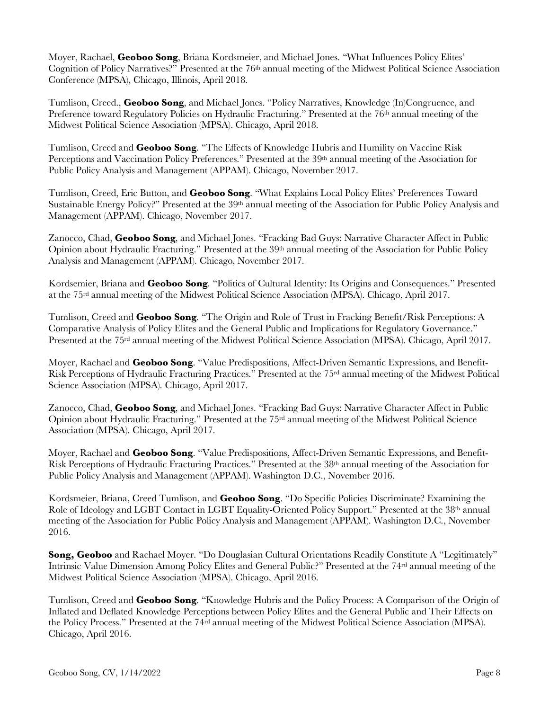Moyer, Rachael, **Geoboo Song**, Briana Kordsmeier, and Michael Jones. "What Influences Policy Elites' Cognition of Policy Narratives?" Presented at the 76th annual meeting of the Midwest Political Science Association Conference (MPSA), Chicago, Illinois, April 2018.

Tumlison, Creed., **Geoboo Song**, and Michael Jones. "Policy Narratives, Knowledge (In)Congruence, and Preference toward Regulatory Policies on Hydraulic Fracturing." Presented at the 76<sup>th</sup> annual meeting of the Midwest Political Science Association (MPSA). Chicago, April 2018.

Tumlison, Creed and **Geoboo Song**. "The Effects of Knowledge Hubris and Humility on Vaccine Risk Perceptions and Vaccination Policy Preferences." Presented at the 39<sup>th</sup> annual meeting of the Association for Public Policy Analysis and Management (APPAM). Chicago, November 2017.

Tumlison, Creed, Eric Button, and **Geoboo Song**. "What Explains Local Policy Elites' Preferences Toward Sustainable Energy Policy?" Presented at the 39<sup>th</sup> annual meeting of the Association for Public Policy Analysis and Management (APPAM). Chicago, November 2017.

Zanocco, Chad, **Geoboo Song**, and Michael Jones. "Fracking Bad Guys: Narrative Character Affect in Public Opinion about Hydraulic Fracturing." Presented at the 39<sup>th</sup> annual meeting of the Association for Public Policy Analysis and Management (APPAM). Chicago, November 2017.

Kordsemier, Briana and **Geoboo Song**. "Politics of Cultural Identity: Its Origins and Consequences." Presented at the 75rd annual meeting of the Midwest Political Science Association (MPSA). Chicago, April 2017.

Tumlison, Creed and **Geoboo Song**. "The Origin and Role of Trust in Fracking Benefit/Risk Perceptions: A Comparative Analysis of Policy Elites and the General Public and Implications for Regulatory Governance." Presented at the 75rd annual meeting of the Midwest Political Science Association (MPSA). Chicago, April 2017.

Moyer, Rachael and **Geoboo Song**. "Value Predispositions, Affect-Driven Semantic Expressions, and Benefit-Risk Perceptions of Hydraulic Fracturing Practices." Presented at the 75rd annual meeting of the Midwest Political Science Association (MPSA). Chicago, April 2017.

Zanocco, Chad, **Geoboo Song**, and Michael Jones. "Fracking Bad Guys: Narrative Character Affect in Public Opinion about Hydraulic Fracturing." Presented at the 75rd annual meeting of the Midwest Political Science Association (MPSA). Chicago, April 2017.

Moyer, Rachael and **Geoboo Song**. "Value Predispositions, Affect-Driven Semantic Expressions, and Benefit-Risk Perceptions of Hydraulic Fracturing Practices." Presented at the 38th annual meeting of the Association for Public Policy Analysis and Management (APPAM). Washington D.C., November 2016.

Kordsmeier, Briana, Creed Tumlison, and **Geoboo Song**. "Do Specific Policies Discriminate? Examining the Role of Ideology and LGBT Contact in LGBT Equality-Oriented Policy Support." Presented at the 38th annual meeting of the Association for Public Policy Analysis and Management (APPAM). Washington D.C., November 2016.

**Song, Geoboo** and Rachael Moyer. "Do Douglasian Cultural Orientations Readily Constitute A "Legitimately" Intrinsic Value Dimension Among Policy Elites and General Public?" Presented at the 74<sup>rd</sup> annual meeting of the Midwest Political Science Association (MPSA). Chicago, April 2016.

Tumlison, Creed and **Geoboo Song**. "Knowledge Hubris and the Policy Process: A Comparison of the Origin of Inflated and Deflated Knowledge Perceptions between Policy Elites and the General Public and Their Effects on the Policy Process." Presented at the 74rd annual meeting of the Midwest Political Science Association (MPSA). Chicago, April 2016.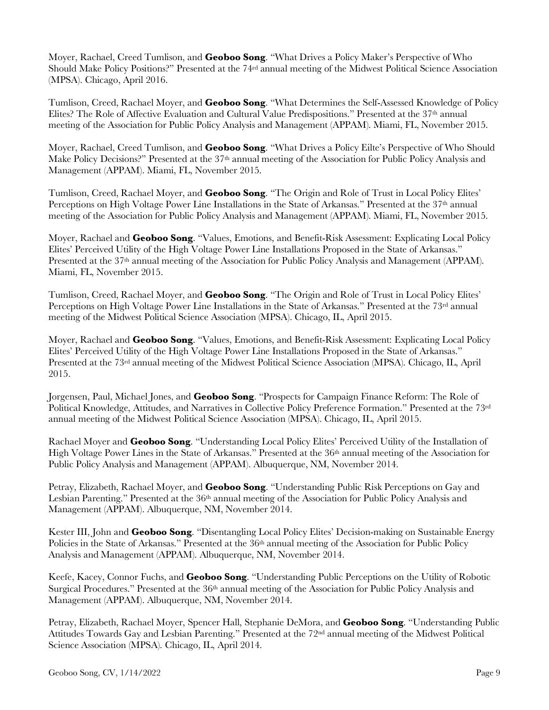Moyer, Rachael, Creed Tumlison, and **Geoboo Song**. "What Drives a Policy Maker's Perspective of Who Should Make Policy Positions?" Presented at the 74rd annual meeting of the Midwest Political Science Association (MPSA). Chicago, April 2016.

Tumlison, Creed, Rachael Moyer, and **Geoboo Song**. "What Determines the Self-Assessed Knowledge of Policy Elites? The Role of Affective Evaluation and Cultural Value Predispositions." Presented at the 37th annual meeting of the Association for Public Policy Analysis and Management (APPAM). Miami, FL, November 2015.

Moyer, Rachael, Creed Tumlison, and **Geoboo Song**. "What Drives a Policy Eilte's Perspective of Who Should Make Policy Decisions?" Presented at the 37<sup>th</sup> annual meeting of the Association for Public Policy Analysis and Management (APPAM). Miami, FL, November 2015.

Tumlison, Creed, Rachael Moyer, and **Geoboo Song**. "The Origin and Role of Trust in Local Policy Elites' Perceptions on High Voltage Power Line Installations in the State of Arkansas." Presented at the 37<sup>th</sup> annual meeting of the Association for Public Policy Analysis and Management (APPAM). Miami, FL, November 2015.

Moyer, Rachael and **Geoboo Song**. "Values, Emotions, and Benefit-Risk Assessment: Explicating Local Policy Elites' Perceived Utility of the High Voltage Power Line Installations Proposed in the State of Arkansas." Presented at the 37<sup>th</sup> annual meeting of the Association for Public Policy Analysis and Management (APPAM). Miami, FL, November 2015.

Tumlison, Creed, Rachael Moyer, and **Geoboo Song**. "The Origin and Role of Trust in Local Policy Elites' Perceptions on High Voltage Power Line Installations in the State of Arkansas." Presented at the 73rd annual meeting of the Midwest Political Science Association (MPSA). Chicago, IL, April 2015.

Moyer, Rachael and **Geoboo Song**. "Values, Emotions, and Benefit-Risk Assessment: Explicating Local Policy Elites' Perceived Utility of the High Voltage Power Line Installations Proposed in the State of Arkansas." Presented at the 73rd annual meeting of the Midwest Political Science Association (MPSA). Chicago, IL, April 2015.

Jorgensen, Paul, Michael Jones, and **Geoboo Song**. "Prospects for Campaign Finance Reform: The Role of Political Knowledge, Attitudes, and Narratives in Collective Policy Preference Formation." Presented at the 73rd annual meeting of the Midwest Political Science Association (MPSA). Chicago, IL, April 2015.

Rachael Moyer and **Geoboo Song**. "Understanding Local Policy Elites' Perceived Utility of the Installation of High Voltage Power Lines in the State of Arkansas." Presented at the 36<sup>th</sup> annual meeting of the Association for Public Policy Analysis and Management (APPAM). Albuquerque, NM, November 2014.

Petray, Elizabeth, Rachael Moyer, and **Geoboo Song**. "Understanding Public Risk Perceptions on Gay and Lesbian Parenting." Presented at the 36<sup>th</sup> annual meeting of the Association for Public Policy Analysis and Management (APPAM). Albuquerque, NM, November 2014.

Kester III, John and **Geoboo Song**. "Disentangling Local Policy Elites' Decision-making on Sustainable Energy Policies in the State of Arkansas." Presented at the 36<sup>th</sup> annual meeting of the Association for Public Policy Analysis and Management (APPAM). Albuquerque, NM, November 2014.

Keefe, Kacey, Connor Fuchs, and **Geoboo Song**. "Understanding Public Perceptions on the Utility of Robotic Surgical Procedures." Presented at the 36<sup>th</sup> annual meeting of the Association for Public Policy Analysis and Management (APPAM). Albuquerque, NM, November 2014.

Petray, Elizabeth, Rachael Moyer, Spencer Hall, Stephanie DeMora, and **Geoboo Song**. "Understanding Public Attitudes Towards Gay and Lesbian Parenting." Presented at the 72nd annual meeting of the Midwest Political Science Association (MPSA). Chicago, IL, April 2014.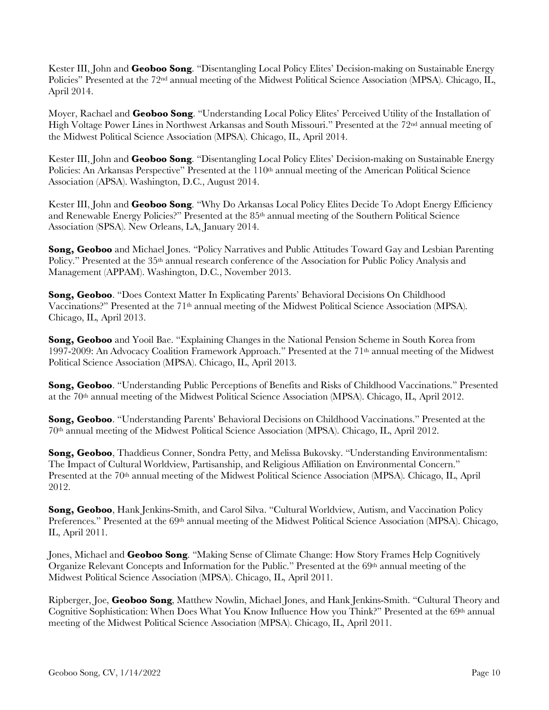Kester III, John and **Geoboo Song**. "Disentangling Local Policy Elites' Decision-making on Sustainable Energy Policies" Presented at the 72nd annual meeting of the Midwest Political Science Association (MPSA). Chicago, IL, April 2014.

Moyer, Rachael and **Geoboo Song**. "Understanding Local Policy Elites' Perceived Utility of the Installation of High Voltage Power Lines in Northwest Arkansas and South Missouri." Presented at the 72nd annual meeting of the Midwest Political Science Association (MPSA). Chicago, IL, April 2014.

Kester III, John and **Geoboo Song**. "Disentangling Local Policy Elites' Decision-making on Sustainable Energy Policies: An Arkansas Perspective" Presented at the 110<sup>th</sup> annual meeting of the American Political Science Association (APSA). Washington, D.C., August 2014.

Kester III, John and **Geoboo Song**. "Why Do Arkansas Local Policy Elites Decide To Adopt Energy Efficiency and Renewable Energy Policies?" Presented at the 85th annual meeting of the Southern Political Science Association (SPSA). New Orleans, LA, January 2014.

**Song, Geoboo** and Michael Jones. "Policy Narratives and Public Attitudes Toward Gay and Lesbian Parenting Policy." Presented at the 35<sup>th</sup> annual research conference of the Association for Public Policy Analysis and Management (APPAM). Washington, D.C., November 2013.

**Song, Geoboo**. "Does Context Matter In Explicating Parents' Behavioral Decisions On Childhood Vaccinations?" Presented at the 71<sup>th</sup> annual meeting of the Midwest Political Science Association (MPSA). Chicago, IL, April 2013.

**Song, Geoboo** and Yooil Bae. "Explaining Changes in the National Pension Scheme in South Korea from 1997-2009: An Advocacy Coalition Framework Approach." Presented at the 71th annual meeting of the Midwest Political Science Association (MPSA). Chicago, IL, April 2013.

**Song, Geoboo**. "Understanding Public Perceptions of Benefits and Risks of Childhood Vaccinations." Presented at the 70th annual meeting of the Midwest Political Science Association (MPSA). Chicago, IL, April 2012.

**Song, Geoboo**. "Understanding Parents' Behavioral Decisions on Childhood Vaccinations." Presented at the 70th annual meeting of the Midwest Political Science Association (MPSA). Chicago, IL, April 2012.

**Song, Geoboo**, Thaddieus Conner, Sondra Petty, and Melissa Bukovsky. "Understanding Environmentalism: The Impact of Cultural Worldview, Partisanship, and Religious Affiliation on Environmental Concern." Presented at the 70th annual meeting of the Midwest Political Science Association (MPSA). Chicago, IL, April 2012.

**Song, Geoboo**, Hank Jenkins-Smith, and Carol Silva. "Cultural Worldview, Autism, and Vaccination Policy Preferences." Presented at the 69<sup>th</sup> annual meeting of the Midwest Political Science Association (MPSA). Chicago, IL, April 2011.

Jones, Michael and **Geoboo Song**. "Making Sense of Climate Change: How Story Frames Help Cognitively Organize Relevant Concepts and Information for the Public." Presented at the  $69<sup>th</sup>$  annual meeting of the Midwest Political Science Association (MPSA). Chicago, IL, April 2011.

Ripberger, Joe, **Geoboo Song**, Matthew Nowlin, Michael Jones, and Hank Jenkins-Smith. "Cultural Theory and Cognitive Sophistication: When Does What You Know Influence How you Think?" Presented at the 69<sup>th</sup> annual meeting of the Midwest Political Science Association (MPSA). Chicago, IL, April 2011.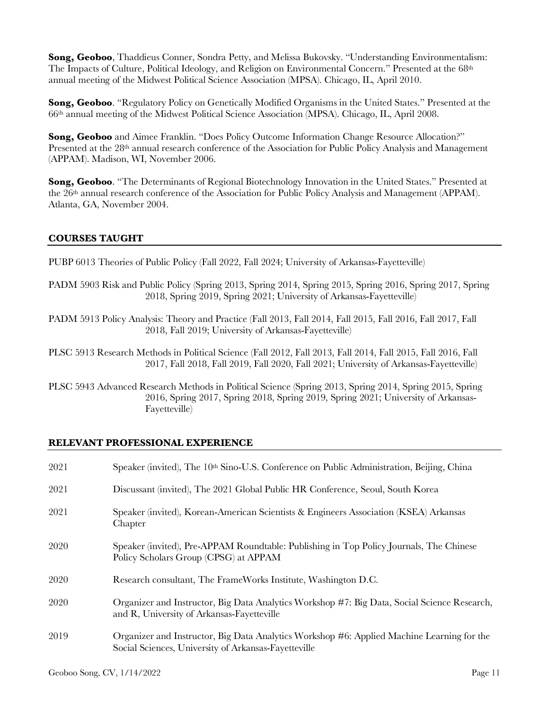**Song, Geoboo**, Thaddieus Conner, Sondra Petty, and Melissa Bukovsky. "Understanding Environmentalism: The Impacts of Culture, Political Ideology, and Religion on Environmental Concern." Presented at the 68<sup>th</sup> annual meeting of the Midwest Political Science Association (MPSA). Chicago, IL, April 2010.

**Song, Geoboo**. "Regulatory Policy on Genetically Modified Organisms in the United States." Presented at the 66th annual meeting of the Midwest Political Science Association (MPSA). Chicago, IL, April 2008.

**Song, Geoboo** and Aimee Franklin. "Does Policy Outcome Information Change Resource Allocation?" Presented at the 28<sup>th</sup> annual research conference of the Association for Public Policy Analysis and Management (APPAM). Madison, WI, November 2006.

**Song, Geoboo**. "The Determinants of Regional Biotechnology Innovation in the United States." Presented at the 26th annual research conference of the Association for Public Policy Analysis and Management (APPAM). Atlanta, GA, November 2004.

### **COURSES TAUGHT**

PUBP 6013 Theories of Public Policy (Fall 2022, Fall 2024; University of Arkansas-Fayetteville)

- PADM 5903 Risk and Public Policy (Spring 2013, Spring 2014, Spring 2015, Spring 2016, Spring 2017, Spring 2018, Spring 2019, Spring 2021; University of Arkansas-Fayetteville)
- PADM 5913 Policy Analysis: Theory and Practice (Fall 2013, Fall 2014, Fall 2015, Fall 2016, Fall 2017, Fall 2018, Fall 2019; University of Arkansas-Fayetteville)
- PLSC 5913 Research Methods in Political Science (Fall 2012, Fall 2013, Fall 2014, Fall 2015, Fall 2016, Fall 2017, Fall 2018, Fall 2019, Fall 2020, Fall 2021; University of Arkansas-Fayetteville)
- PLSC 5943 Advanced Research Methods in Political Science (Spring 2013, Spring 2014, Spring 2015, Spring 2016, Spring 2017, Spring 2018, Spring 2019, Spring 2021; University of Arkansas-Fayetteville)

#### **RELEVANT PROFESSIONAL EXPERIENCE**

| 2021 | Speaker (invited), The 10 <sup>th</sup> Sino-U.S. Conference on Public Administration, Beijing, China                                              |
|------|----------------------------------------------------------------------------------------------------------------------------------------------------|
| 2021 | Discussant (invited), The 2021 Global Public HR Conference, Seoul, South Korea                                                                     |
| 2021 | Speaker (invited), Korean-American Scientists & Engineers Association (KSEA) Arkansas<br>Chapter                                                   |
| 2020 | Speaker (invited), Pre-APPAM Roundtable: Publishing in Top Policy Journals, The Chinese<br>Policy Scholars Group (CPSG) at APPAM                   |
| 2020 | Research consultant, The FrameWorks Institute, Washington D.C.                                                                                     |
| 2020 | Organizer and Instructor, Big Data Analytics Workshop #7: Big Data, Social Science Research,<br>and R, University of Arkansas-Fayetteville         |
| 2019 | Organizer and Instructor, Big Data Analytics Workshop #6: Applied Machine Learning for the<br>Social Sciences, University of Arkansas-Fayetteville |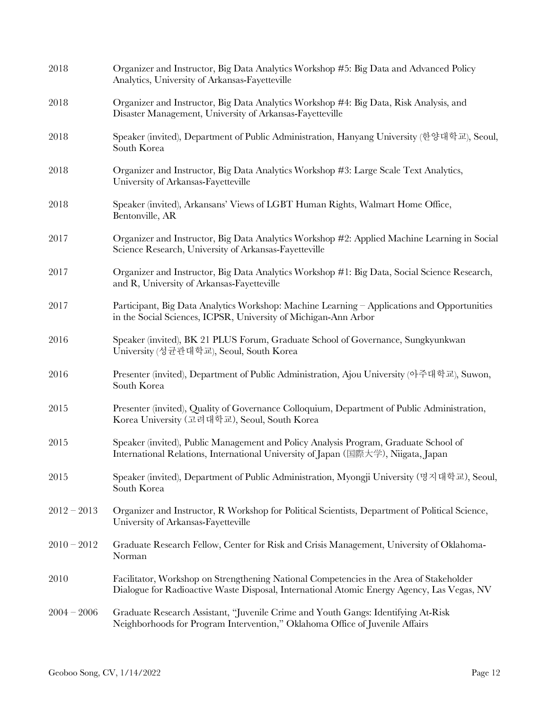| 2018          | Organizer and Instructor, Big Data Analytics Workshop #5: Big Data and Advanced Policy<br>Analytics, University of Arkansas-Fayetteville                                              |
|---------------|---------------------------------------------------------------------------------------------------------------------------------------------------------------------------------------|
| 2018          | Organizer and Instructor, Big Data Analytics Workshop #4: Big Data, Risk Analysis, and<br>Disaster Management, University of Arkansas-Fayetteville                                    |
| 2018          | Speaker (invited), Department of Public Administration, Hanyang University (한양대학교), Seoul,<br>South Korea                                                                             |
| 2018          | Organizer and Instructor, Big Data Analytics Workshop #3: Large Scale Text Analytics,<br>University of Arkansas-Fayetteville                                                          |
| 2018          | Speaker (invited), Arkansans' Views of LGBT Human Rights, Walmart Home Office,<br>Bentonville, AR                                                                                     |
| 2017          | Organizer and Instructor, Big Data Analytics Workshop #2: Applied Machine Learning in Social<br>Science Research, University of Arkansas-Fayetteville                                 |
| 2017          | Organizer and Instructor, Big Data Analytics Workshop #1: Big Data, Social Science Research,<br>and R, University of Arkansas-Fayetteville                                            |
| 2017          | Participant, Big Data Analytics Workshop: Machine Learning - Applications and Opportunities<br>in the Social Sciences, ICPSR, University of Michigan-Ann Arbor                        |
| 2016          | Speaker (invited), BK 21 PLUS Forum, Graduate School of Governance, Sungkyunkwan<br>University (성균관대학교), Seoul, South Korea                                                           |
| 2016          | Presenter (invited), Department of Public Administration, Ajou University (아주대학교), Suwon,<br>South Korea                                                                              |
| 2015          | Presenter (invited), Quality of Governance Colloquium, Department of Public Administration,<br>Korea University (고려대학교), Seoul, South Korea                                           |
| 2015          | Speaker (invited), Public Management and Policy Analysis Program, Graduate School of<br>International Relations, International University of Japan (国際大学), Niigata, Japan             |
| 2015          | Speaker (invited), Department of Public Administration, Myongji University (명지대학교), Seoul,<br>South Korea                                                                             |
| $2012 - 2013$ | Organizer and Instructor, R Workshop for Political Scientists, Department of Political Science,<br>University of Arkansas-Fayetteville                                                |
| $2010 - 2012$ | Graduate Research Fellow, Center for Risk and Crisis Management, University of Oklahoma-<br>Norman                                                                                    |
| 2010          | Facilitator, Workshop on Strengthening National Competencies in the Area of Stakeholder<br>Dialogue for Radioactive Waste Disposal, International Atomic Energy Agency, Las Vegas, NV |
| $2004 - 2006$ | Graduate Research Assistant, "Juvenile Crime and Youth Gangs: Identifying At-Risk<br>Neighborhoods for Program Intervention," Oklahoma Office of Juvenile Affairs                     |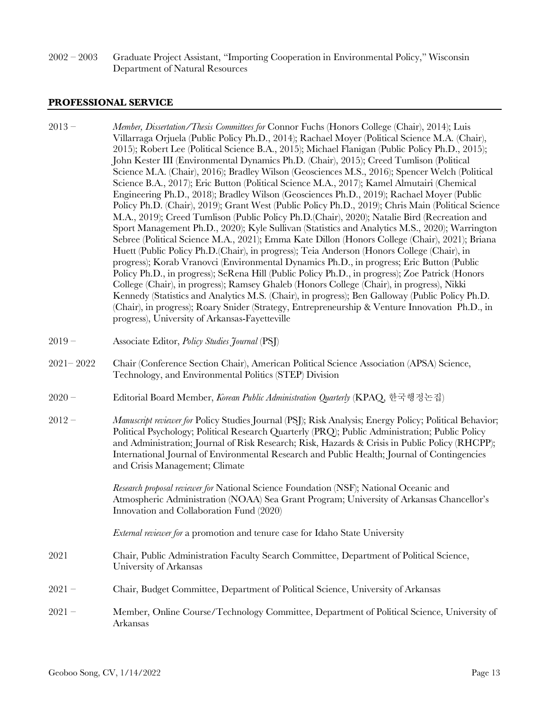2002 – 2003 Graduate Project Assistant, "Importing Cooperation in Environmental Policy," Wisconsin Department of Natural Resources

#### **PROFESSIONAL SERVICE**

- 2013 *Member, Dissertation/Thesis Committees for* Connor Fuchs (Honors College (Chair), 2014); Luis Villarraga Orjuela (Public Policy Ph.D., 2014); Rachael Moyer (Political Science M.A. (Chair), 2015); Robert Lee (Political Science B.A., 2015); Michael Flanigan (Public Policy Ph.D., 2015); John Kester III (Environmental Dynamics Ph.D. (Chair), 2015); Creed Tumlison (Political Science M.A. (Chair), 2016); Bradley Wilson (Geosciences M.S., 2016); Spencer Welch (Political Science B.A., 2017); Eric Button (Political Science M.A., 2017); Kamel Almutairi (Chemical Engineering Ph.D., 2018); Bradley Wilson (Geosciences Ph.D., 2019); Rachael Moyer (Public Policy Ph.D. (Chair), 2019); Grant West (Public Policy Ph.D., 2019); Chris Main (Political Science M.A., 2019); Creed Tumlison (Public Policy Ph.D.(Chair), 2020); Natalie Bird (Recreation and Sport Management Ph.D., 2020); Kyle Sullivan (Statistics and Analytics M.S., 2020); Warrington Sebree (Political Science M.A., 2021); Emma Kate Dillon (Honors College (Chair), 2021); Briana Huett (Public Policy Ph.D.(Chair), in progress); Teia Anderson (Honors College (Chair), in progress); Korab Vranovci (Environmental Dynamics Ph.D., in progress; Eric Button (Public Policy Ph.D., in progress); SeRena Hill (Public Policy Ph.D., in progress); Zoe Patrick (Honors College (Chair), in progress); Ramsey Ghaleb (Honors College (Chair), in progress), Nikki Kennedy (Statistics and Analytics M.S. (Chair), in progress); Ben Galloway (Public Policy Ph.D. (Chair), in progress); Roary Snider (Strategy, Entrepreneurship & Venture Innovation Ph.D., in progress), University of Arkansas-Fayetteville
- 2019 Associate Editor, *Policy Studies Journal* (PSJ)
- 2021– 2022 Chair (Conference Section Chair), American Political Science Association (APSA) Science, Technology, and Environmental Politics (STEP) Division
- 2020 Editorial Board Member, *Korean Public Administration Quarterly* (KPAQ, 한국행정논집)
- 2012 *Manuscript reviewer for* Policy Studies Journal (PSJ); Risk Analysis; Energy Policy; Political Behavior; Political Psychology; Political Research Quarterly (PRQ); Public Administration; Public Policy and Administration; Journal of Risk Research; Risk, Hazards & Crisis in Public Policy (RHCPP); International Journal of Environmental Research and Public Health; Journal of Contingencies and Crisis Management; Climate

*Research proposal reviewer for* National Science Foundation (NSF); National Oceanic and Atmospheric Administration (NOAA) Sea Grant Program; University of Arkansas Chancellor's Innovation and Collaboration Fund (2020)

*External reviewer for* a promotion and tenure case for Idaho State University

- 2021 Chair, Public Administration Faculty Search Committee, Department of Political Science, University of Arkansas
- 2021 Chair, Budget Committee, Department of Political Science, University of Arkansas
- 2021 Member, Online Course/Technology Committee, Department of Political Science, University of Arkansas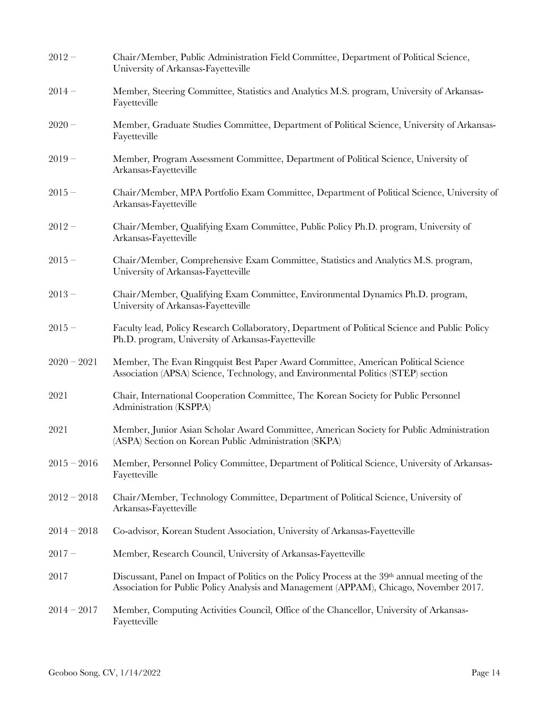| Chair/Member, Public Administration Field Committee, Department of Political Science,<br>University of Arkansas-Fayetteville                                                              |
|-------------------------------------------------------------------------------------------------------------------------------------------------------------------------------------------|
| Member, Steering Committee, Statistics and Analytics M.S. program, University of Arkansas-<br>Fayetteville                                                                                |
| Member, Graduate Studies Committee, Department of Political Science, University of Arkansas-<br>Fayetteville                                                                              |
| Member, Program Assessment Committee, Department of Political Science, University of<br>Arkansas-Fayetteville                                                                             |
| Chair/Member, MPA Portfolio Exam Committee, Department of Political Science, University of<br>Arkansas-Fayetteville                                                                       |
| Chair/Member, Qualifying Exam Committee, Public Policy Ph.D. program, University of<br>Arkansas-Fayetteville                                                                              |
| Chair/Member, Comprehensive Exam Committee, Statistics and Analytics M.S. program,<br>University of Arkansas-Fayetteville                                                                 |
| Chair/Member, Qualifying Exam Committee, Environmental Dynamics Ph.D. program,<br>University of Arkansas-Fayetteville                                                                     |
| Faculty lead, Policy Research Collaboratory, Department of Political Science and Public Policy<br>Ph.D. program, University of Arkansas-Fayetteville                                      |
| Member, The Evan Ringquist Best Paper Award Committee, American Political Science<br>Association (APSA) Science, Technology, and Environmental Politics (STEP) section                    |
| Chair, International Cooperation Committee, The Korean Society for Public Personnel<br>Administration (KSPPA)                                                                             |
| Member, Junior Asian Scholar Award Committee, American Society for Public Administration<br>(ASPA) Section on Korean Public Administration (SKPA)                                         |
| Member, Personnel Policy Committee, Department of Political Science, University of Arkansas-<br>Fayetteville                                                                              |
| Chair/Member, Technology Committee, Department of Political Science, University of<br>Arkansas-Fayetteville                                                                               |
| Co-advisor, Korean Student Association, University of Arkansas-Fayetteville                                                                                                               |
| Member, Research Council, University of Arkansas-Fayetteville                                                                                                                             |
| Discussant, Panel on Impact of Politics on the Policy Process at the 39th annual meeting of the<br>Association for Public Policy Analysis and Management (APPAM), Chicago, November 2017. |
| Member, Computing Activities Council, Office of the Chancellor, University of Arkansas-<br>Fayetteville                                                                                   |
|                                                                                                                                                                                           |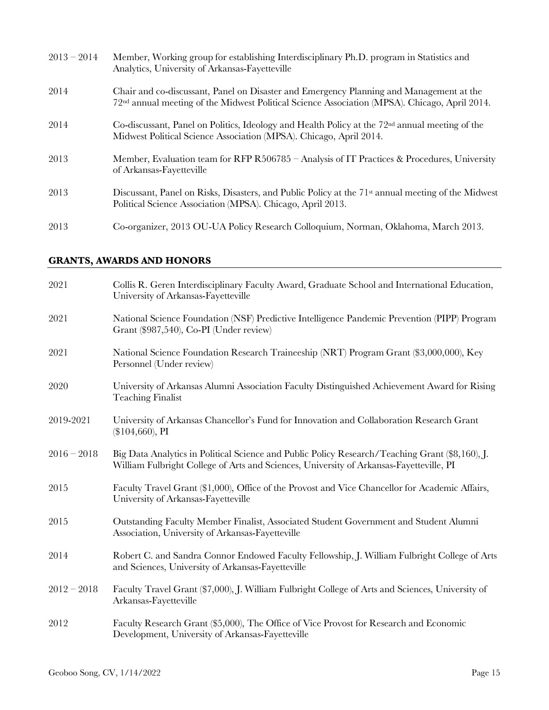| $2013 - 2014$ | Member, Working group for establishing Interdisciplinary Ph.D. program in Statistics and<br>Analytics, University of Arkansas-Fayetteville                                                           |
|---------------|------------------------------------------------------------------------------------------------------------------------------------------------------------------------------------------------------|
| 2014          | Chair and co-discussant, Panel on Disaster and Emergency Planning and Management at the<br>72 <sup>nd</sup> annual meeting of the Midwest Political Science Association (MPSA). Chicago, April 2014. |
| 2014          | Co-discussant, Panel on Politics, Ideology and Health Policy at the $72nd$ annual meeting of the<br>Midwest Political Science Association (MPSA). Chicago, April 2014.                               |
| 2013          | Member, Evaluation team for RFP R506785 - Analysis of IT Practices & Procedures, University<br>of Arkansas-Fayetteville                                                                              |
| 2013          | Discussant, Panel on Risks, Disasters, and Public Policy at the 71 <sup>st</sup> annual meeting of the Midwest<br>Political Science Association (MPSA). Chicago, April 2013.                         |
| 2013          | Co-organizer, 2013 OU-UA Policy Research Colloquium, Norman, Oklahoma, March 2013.                                                                                                                   |

# **GRANTS, AWARDS AND HONORS**

| 2021          | Collis R. Geren Interdisciplinary Faculty Award, Graduate School and International Education,<br>University of Arkansas-Fayetteville                                                       |
|---------------|--------------------------------------------------------------------------------------------------------------------------------------------------------------------------------------------|
| 2021          | National Science Foundation (NSF) Predictive Intelligence Pandemic Prevention (PIPP) Program<br>Grant (\$987,540), Co-PI (Under review)                                                    |
| 2021          | National Science Foundation Research Traineeship (NRT) Program Grant (\$3,000,000), Key<br>Personnel (Under review)                                                                        |
| 2020          | University of Arkansas Alumni Association Faculty Distinguished Achievement Award for Rising<br><b>Teaching Finalist</b>                                                                   |
| 2019-2021     | University of Arkansas Chancellor's Fund for Innovation and Collaboration Research Grant<br>$(\$104,660)$ , PI                                                                             |
| $2016 - 2018$ | Big Data Analytics in Political Science and Public Policy Research/Teaching Grant (\$8,160), J.<br>William Fulbright College of Arts and Sciences, University of Arkansas-Fayetteville, PI |
| 2015          | Faculty Travel Grant (\$1,000), Office of the Provost and Vice Chancellor for Academic Affairs,<br>University of Arkansas-Fayetteville                                                     |
| 2015          | Outstanding Faculty Member Finalist, Associated Student Government and Student Alumni<br>Association, University of Arkansas-Fayetteville                                                  |
| 2014          | Robert C. and Sandra Connor Endowed Faculty Fellowship, J. William Fulbright College of Arts<br>and Sciences, University of Arkansas-Fayetteville                                          |
| $2012 - 2018$ | Faculty Travel Grant (\$7,000), J. William Fulbright College of Arts and Sciences, University of<br>Arkansas-Fayetteville                                                                  |
| 2012          | Faculty Research Grant (\$5,000), The Office of Vice Provost for Research and Economic<br>Development, University of Arkansas-Fayetteville                                                 |